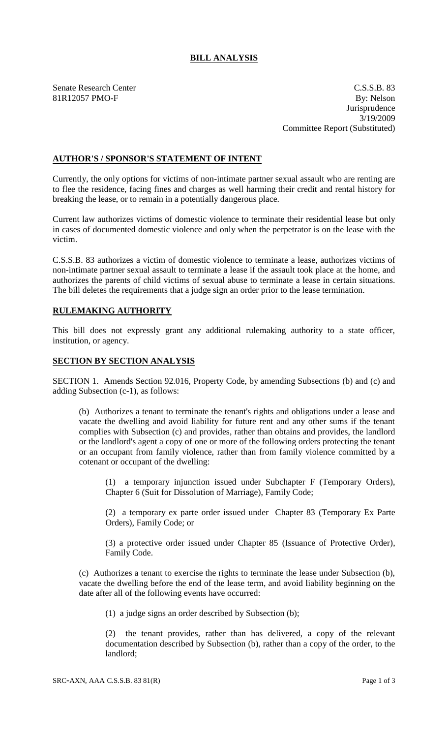# **BILL ANALYSIS**

Senate Research Center Cassets and C.S.S.B. 83 81R12057 PMO-F By: Nelson **Jurisprudence** 3/19/2009 Committee Report (Substituted)

## **AUTHOR'S / SPONSOR'S STATEMENT OF INTENT**

Currently, the only options for victims of non-intimate partner sexual assault who are renting are to flee the residence, facing fines and charges as well harming their credit and rental history for breaking the lease, or to remain in a potentially dangerous place.

Current law authorizes victims of domestic violence to terminate their residential lease but only in cases of documented domestic violence and only when the perpetrator is on the lease with the victim.

C.S.S.B. 83 authorizes a victim of domestic violence to terminate a lease, authorizes victims of non-intimate partner sexual assault to terminate a lease if the assault took place at the home, and authorizes the parents of child victims of sexual abuse to terminate a lease in certain situations. The bill deletes the requirements that a judge sign an order prior to the lease termination.

### **RULEMAKING AUTHORITY**

This bill does not expressly grant any additional rulemaking authority to a state officer, institution, or agency.

#### **SECTION BY SECTION ANALYSIS**

SECTION 1. Amends Section 92.016, Property Code, by amending Subsections (b) and (c) and adding Subsection (c-1), as follows:

(b) Authorizes a tenant to terminate the tenant's rights and obligations under a lease and vacate the dwelling and avoid liability for future rent and any other sums if the tenant complies with Subsection (c) and provides, rather than obtains and provides, the landlord or the landlord's agent a copy of one or more of the following orders protecting the tenant or an occupant from family violence, rather than from family violence committed by a cotenant or occupant of the dwelling:

(1) a temporary injunction issued under Subchapter F (Temporary Orders), Chapter 6 (Suit for Dissolution of Marriage), Family Code;

(2) a temporary ex parte order issued under Chapter 83 (Temporary Ex Parte Orders), Family Code; or

(3) a protective order issued under Chapter 85 (Issuance of Protective Order), Family Code.

(c) Authorizes a tenant to exercise the rights to terminate the lease under Subsection (b), vacate the dwelling before the end of the lease term, and avoid liability beginning on the date after all of the following events have occurred:

(1) a judge signs an order described by Subsection (b);

(2) the tenant provides, rather than has delivered, a copy of the relevant documentation described by Subsection (b), rather than a copy of the order, to the landlord;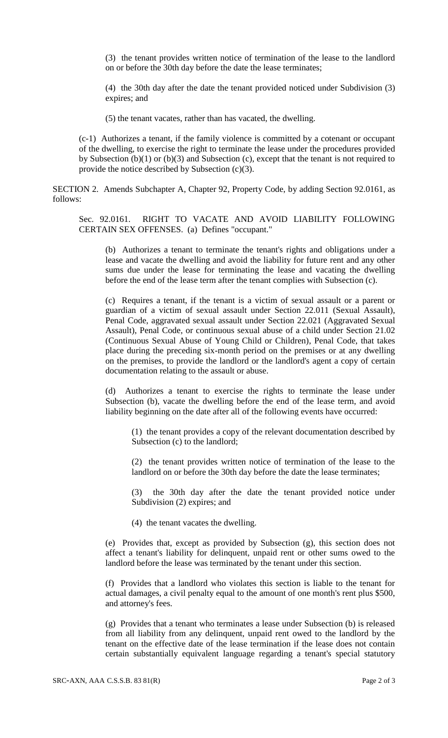(3) the tenant provides written notice of termination of the lease to the landlord on or before the 30th day before the date the lease terminates;

(4) the 30th day after the date the tenant provided noticed under Subdivision (3) expires; and

(5) the tenant vacates, rather than has vacated, the dwelling.

(c-1) Authorizes a tenant, if the family violence is committed by a cotenant or occupant of the dwelling, to exercise the right to terminate the lease under the procedures provided by Subsection (b)(1) or (b)(3) and Subsection (c), except that the tenant is not required to provide the notice described by Subsection (c)(3).

SECTION 2. Amends Subchapter A, Chapter 92, Property Code, by adding Section 92.0161, as follows:

Sec. 92.0161. RIGHT TO VACATE AND AVOID LIABILITY FOLLOWING CERTAIN SEX OFFENSES. (a) Defines "occupant."

(b) Authorizes a tenant to terminate the tenant's rights and obligations under a lease and vacate the dwelling and avoid the liability for future rent and any other sums due under the lease for terminating the lease and vacating the dwelling before the end of the lease term after the tenant complies with Subsection (c).

(c) Requires a tenant, if the tenant is a victim of sexual assault or a parent or guardian of a victim of sexual assault under Section 22.011 (Sexual Assault), Penal Code, aggravated sexual assault under Section 22.021 (Aggravated Sexual Assault), Penal Code, or continuous sexual abuse of a child under Section 21.02 (Continuous Sexual Abuse of Young Child or Children), Penal Code, that takes place during the preceding six-month period on the premises or at any dwelling on the premises, to provide the landlord or the landlord's agent a copy of certain documentation relating to the assault or abuse.

(d) Authorizes a tenant to exercise the rights to terminate the lease under Subsection (b), vacate the dwelling before the end of the lease term, and avoid liability beginning on the date after all of the following events have occurred:

(1) the tenant provides a copy of the relevant documentation described by Subsection (c) to the landlord;

(2) the tenant provides written notice of termination of the lease to the landlord on or before the 30th day before the date the lease terminates;

(3) the 30th day after the date the tenant provided notice under Subdivision (2) expires; and

(4) the tenant vacates the dwelling.

(e) Provides that, except as provided by Subsection (g), this section does not affect a tenant's liability for delinquent, unpaid rent or other sums owed to the landlord before the lease was terminated by the tenant under this section.

(f) Provides that a landlord who violates this section is liable to the tenant for actual damages, a civil penalty equal to the amount of one month's rent plus \$500, and attorney's fees.

(g) Provides that a tenant who terminates a lease under Subsection (b) is released from all liability from any delinquent, unpaid rent owed to the landlord by the tenant on the effective date of the lease termination if the lease does not contain certain substantially equivalent language regarding a tenant's special statutory